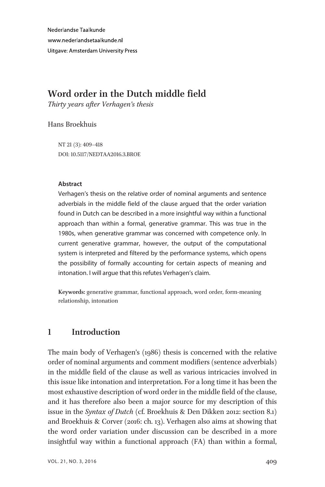Nederlandse Taalkunde www.nederlandsetaalkunde.nl **Uitgave: Amsterdam University Press** 

# Word order in the Dutch middle field

Thirty years after Verhagen's thesis

#### Hans Broekhuis

NT 21 (3): 409–418 DOI: 10.5117/NEDTAA2016.3.BROE

#### Abstract

Verhagen's thesis on the relative order of nominal arguments and sentence adverbials in the middle field of the clause argued that the order variation found in Dutch can be described in a more insightful way within a functional approach than within a formal, generative grammar. This was true in the 1980s, when generative grammar was concerned with competence only. In current generative grammar, however, the output of the computational system is interpreted and filtered by the performance systems, which opens the possibility of formally accounting for certain aspects of meaning and intonation. I will argue that this refutes Verhagen's claim.

Keywords: generative grammar, functional approach, word order, form-meaning relationship, intonation

# 1 Introduction

The main body of Verhagen's (1986) thesis is concerned with the relative order of nominal arguments and comment modifiers (sentence adverbials) in the middle field of the clause as well as various intricacies involved in this issue like intonation and interpretation. For a long time it has been the most exhaustive description of word order in the middle field of the clause, and it has therefore also been a major source for my description of this issue in the Syntax of Dutch (cf. Broekhuis & Den Dikken 2012: section 8.1) and Broekhuis & Corver (2016: ch. 13). Verhagen also aims at showing that the word order variation under discussion can be described in a more insightful way within a functional approach (FA) than within a formal,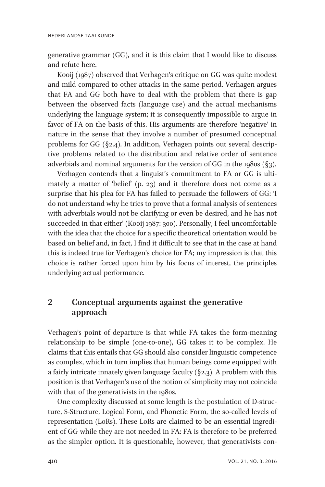generative grammar (GG), and it is this claim that I would like to discuss and refute here.

Kooij (1987) observed that Verhagen's critique on GG was quite modest and mild compared to other attacks in the same period. Verhagen argues that FA and GG both have to deal with the problem that there is gap between the observed facts (language use) and the actual mechanisms underlying the language system; it is consequently impossible to argue in favor of FA on the basis of this. His arguments are therefore 'negative' in nature in the sense that they involve a number of presumed conceptual problems for GG (§2.4). In addition, Verhagen points out several descriptive problems related to the distribution and relative order of sentence adverbials and nominal arguments for the version of GG in the 1980s (§3).

Verhagen contends that a linguist's commitment to FA or GG is ultimately a matter of 'belief' (p. 23) and it therefore does not come as a surprise that his plea for FA has failed to persuade the followers of GG: 'I do not understand why he tries to prove that a formal analysis of sentences with adverbials would not be clarifying or even be desired, and he has not succeeded in that either' (Kooij 1987: 300). Personally, I feel uncomfortable with the idea that the choice for a specific theoretical orientation would be based on belief and, in fact, I find it difficult to see that in the case at hand this is indeed true for Verhagen's choice for FA; my impression is that this choice is rather forced upon him by his focus of interest, the principles underlying actual performance.

# 2 Conceptual arguments against the generative approach

Verhagen's point of departure is that while FA takes the form-meaning relationship to be simple (one-to-one), GG takes it to be complex. He claims that this entails that GG should also consider linguistic competence as complex, which in turn implies that human beings come equipped with a fairly intricate innately given language faculty  $(S_2, S_3)$ . A problem with this position is that Verhagen's use of the notion of simplicity may not coincide with that of the generativists in the 1980s.

One complexity discussed at some length is the postulation of D-structure, S-Structure, Logical Form, and Phonetic Form, the so-called levels of representation (LoRs). These LoRs are claimed to be an essential ingredient of GG while they are not needed in FA: FA is therefore to be preferred as the simpler option. It is questionable, however, that generativists con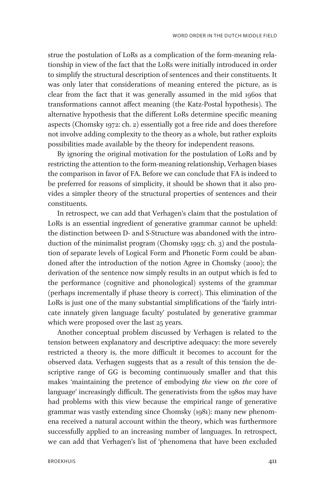strue the postulation of LoRs as a complication of the form-meaning relationship in view of the fact that the LoRs were initially introduced in order to simplify the structural description of sentences and their constituents. It was only later that considerations of meaning entered the picture, as is clear from the fact that it was generally assumed in the mid 1960s that transformations cannot affect meaning (the Katz-Postal hypothesis). The alternative hypothesis that the different LoRs determine specific meaning aspects (Chomsky 1972: ch. 2) essentially got a free ride and does therefore not involve adding complexity to the theory as a whole, but rather exploits possibilities made available by the theory for independent reasons.

By ignoring the original motivation for the postulation of LoRs and by restricting the attention to the form-meaning relationship, Verhagen biases the comparison in favor of FA. Before we can conclude that FA is indeed to be preferred for reasons of simplicity, it should be shown that it also provides a simpler theory of the structural properties of sentences and their constituents.

In retrospect, we can add that Verhagen's claim that the postulation of LoRs is an essential ingredient of generative grammar cannot be upheld: the distinction between D- and S-Structure was abandoned with the introduction of the minimalist program (Chomsky 1993: ch. 3) and the postulation of separate levels of Logical Form and Phonetic Form could be abandoned after the introduction of the notion Agree in Chomsky (2000); the derivation of the sentence now simply results in an output which is fed to the performance (cognitive and phonological) systems of the grammar (perhaps incrementally if phase theory is correct). This elimination of the LoRs is just one of the many substantial simplifications of the 'fairly intricate innately given language faculty' postulated by generative grammar which were proposed over the last 25 years.

Another conceptual problem discussed by Verhagen is related to the tension between explanatory and descriptive adequacy: the more severely restricted a theory is, the more difficult it becomes to account for the observed data. Verhagen suggests that as a result of this tension the descriptive range of GG is becoming continuously smaller and that this makes 'maintaining the pretence of embodying the view on the core of language' increasingly difficult. The generativists from the 1980s may have had problems with this view because the empirical range of generative grammar was vastly extending since Chomsky (1981): many new phenomena received a natural account within the theory, which was furthermore successfully applied to an increasing number of languages. In retrospect, we can add that Verhagen's list of 'phenomena that have been excluded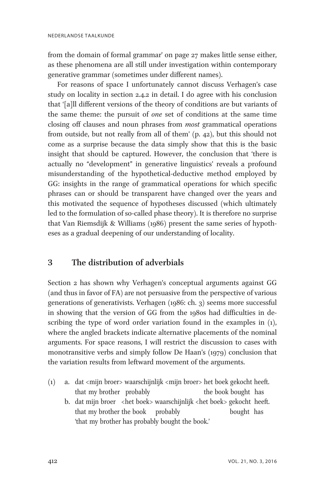from the domain of formal grammar' on page 27 makes little sense either, as these phenomena are all still under investigation within contemporary generative grammar (sometimes under different names).

For reasons of space I unfortunately cannot discuss Verhagen's case study on locality in section 2.4.2 in detail. I do agree with his conclusion that '[a]ll different versions of the theory of conditions are but variants of the same theme: the pursuit of one set of conditions at the same time closing off clauses and noun phrases from most grammatical operations from outside, but not really from all of them' (p. 42), but this should not come as a surprise because the data simply show that this is the basic insight that should be captured. However, the conclusion that 'there is actually no "development" in generative linguistics' reveals a profound misunderstanding of the hypothetical-deductive method employed by GG: insights in the range of grammatical operations for which specific phrases can or should be transparent have changed over the years and this motivated the sequence of hypotheses discussed (which ultimately led to the formulation of so-called phase theory). It is therefore no surprise that Van Riemsdijk & Williams (1986) present the same series of hypotheses as a gradual deepening of our understanding of locality.

## 3 The distribution of adverbials

Section 2 has shown why Verhagen's conceptual arguments against GG (and thus in favor of FA) are not persuasive from the perspective of various generations of generativists. Verhagen (1986: ch. 3) seems more successful in showing that the version of GG from the 1980s had difficulties in describing the type of word order variation found in the examples in  $(1)$ , where the angled brackets indicate alternative placements of the nominal arguments. For space reasons, I will restrict the discussion to cases with monotransitive verbs and simply follow De Haan's (1979) conclusion that the variation results from leftward movement of the arguments.

- (1) a. dat <mijn broer> waarschijnlijk <mijn broer> het boek gekocht heeft. that my brother probably the book bought has
	- b. dat mijn broer <het boek> waarschijnlijk <het boek> gekocht heeft. that my brother the book probably bought has 'that my brother has probably bought the book.'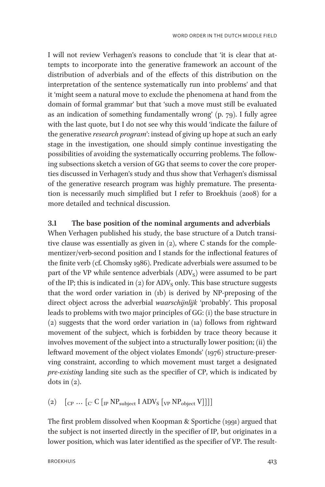I will not review Verhagen's reasons to conclude that 'it is clear that attempts to incorporate into the generative framework an account of the distribution of adverbials and of the effects of this distribution on the interpretation of the sentence systematically run into problems' and that it 'might seem a natural move to exclude the phenomena at hand from the domain of formal grammar' but that 'such a move must still be evaluated as an indication of something fundamentally wrong' (p. 79). I fully agree with the last quote, but I do not see why this would 'indicate the failure of the generative *research program*': instead of giving up hope at such an early stage in the investigation, one should simply continue investigating the possibilities of avoiding the systematically occurring problems. The following subsections sketch a version of GG that seems to cover the core properties discussed in Verhagen's study and thus show that Verhagen's dismissal of the generative research program was highly premature. The presentation is necessarily much simplified but I refer to Broekhuis (2008) for a more detailed and technical discussion.

#### 3.1 The base position of the nominal arguments and adverbials

When Verhagen published his study, the base structure of a Dutch transitive clause was essentially as given in (2), where C stands for the complementizer/verb-second position and I stands for the inflectional features of the finite verb (cf. Chomsky 1986). Predicate adverbials were assumed to be part of the VP while sentence adverbials  $(ADV<sub>S</sub>)$  were assumed to be part of the IP; this is indicated in  $(2)$  for ADV<sub>s</sub> only. This base structure suggests that the word order variation in (1b) is derived by NP-preposing of the direct object across the adverbial waarschijnlijk 'probably'. This proposal leads to problems with two major principles of GG: (i) the base structure in (2) suggests that the word order variation in (1a) follows from rightward movement of the subject, which is forbidden by trace theory because it involves movement of the subject into a structurally lower position; (ii) the leftward movement of the object violates Emonds' (1976) structure-preserving constraint, according to which movement must target a designated pre-existing landing site such as the specifier of CP, which is indicated by dots in  $(2)$ .

(2)  $\left[\begin{matrix} \begin{bmatrix} C & \cdots & \begin{bmatrix} C' & \overline{C} \end{bmatrix} \end{matrix} \begin{bmatrix} \begin{bmatrix} \text{IP} & \text{NP}_{\text{subject}} \end{bmatrix} & \text{IMP}_{\text{subject}} & \text{Null} \end{bmatrix} \end{bmatrix} \begin{bmatrix} \begin{bmatrix} \text{IP} & \text{NP}_{\text{object}} \end{bmatrix} & \begin{bmatrix} \begin{bmatrix} \text{IP} & \text{NP} \end{bmatrix} & \begin{bmatrix} \text{INP}_{\text{object}} & \text{V} \end{bmatrix} & \begin{bmatrix} \begin{bmatrix}$ 

The first problem dissolved when Koopman & Sportiche (1991) argued that the subject is not inserted directly in the specifier of IP, but originates in a lower position, which was later identified as the specifier of VP. The result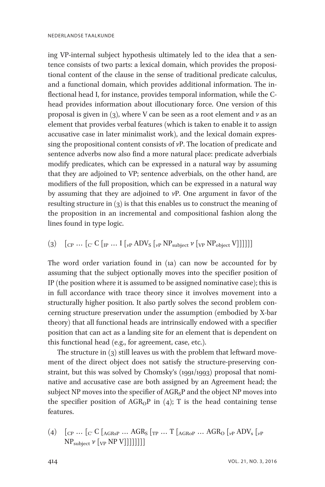ing VP-internal subject hypothesis ultimately led to the idea that a sentence consists of two parts: a lexical domain, which provides the propositional content of the clause in the sense of traditional predicate calculus, and a functional domain, which provides additional information. The inflectional head I, for instance, provides temporal information, while the Chead provides information about illocutionary force. One version of this proposal is given in (3), where V can be seen as a root element and  $\nu$  as an element that provides verbal features (which is taken to enable it to assign accusative case in later minimalist work), and the lexical domain expressing the propositional content consists of  $v$ P. The location of predicate and sentence adverbs now also find a more natural place: predicate adverbials modify predicates, which can be expressed in a natural way by assuming that they are adjoined to VP; sentence adverbials, on the other hand, are modifiers of the full proposition, which can be expressed in a natural way by assuming that they are adjoined to vP. One argument in favor of the resulting structure in (3) is that this enables us to construct the meaning of the proposition in an incremental and compositional fashion along the lines found in type logic.

(3)  $\left[\begin{array}{ccc}C & \cdots & C\end{array}\right]$   $\left[\begin{array}{ccc}C & \cdots & I\end{array}\right]$   $\left[\begin{array}{ccc}V & \cdots & I\end{array}\right]$   $\left[\begin{array}{ccc}V & \cdots & I\end{array}\right]$   $\left[\begin{array}{ccc}V & \cdots & I\end{array}\right]$   $\left[\begin{array}{ccc}V & \cdots & I\end{array}\right]$   $\left[\begin{array}{ccc}V & \cdots & I\end{array}\right]$   $\left[\begin{array}{ccc}V & \cdots & I\end{array}\right]$ 

The word order variation found in (1a) can now be accounted for by assuming that the subject optionally moves into the specifier position of IP (the position where it is assumed to be assigned nominative case); this is in full accordance with trace theory since it involves movement into a structurally higher position. It also partly solves the second problem concerning structure preservation under the assumption (embodied by X-bar theory) that all functional heads are intrinsically endowed with a specifier position that can act as a landing site for an element that is dependent on this functional head (e.g., for agreement, case, etc.).

The structure in (3) still leaves us with the problem that leftward movement of the direct object does not satisfy the structure-preserving constraint, but this was solved by Chomsky's (1991/1993) proposal that nominative and accusative case are both assigned by an Agreement head; the subject NP moves into the specifier of  $AGR<sub>S</sub>P$  and the object NP moves into the specifier position of  $AGR_0P$  in (4); T is the head containing tense features.

(4)  $\left[$  CP ...  $\left[$  C'  $\right]$  (AGRsP ... AGR<sub>S</sub> $\left[$ <sub>TP</sub> ... T $\left[$  AGR<sub>O</sub>P ... AGR<sub>O</sub> $\left[$ <sub>vP</sub> ADV<sub>s</sub> $\left[$ <sub>vP</sub>  $NP_{subject}$   $\nu$  [<sub>VP</sub> NP V]]]]]]]]]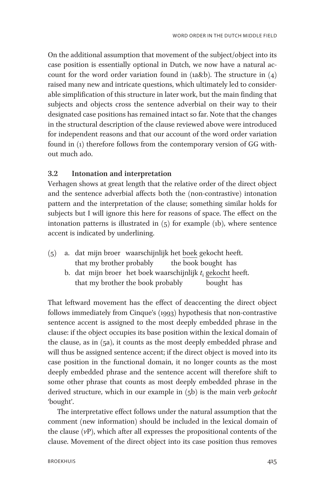On the additional assumption that movement of the subject/object into its case position is essentially optional in Dutch, we now have a natural account for the word order variation found in (1a&b). The structure in  $(4)$ raised many new and intricate questions, which ultimately led to considerable simplification of this structure in later work, but the main finding that subjects and objects cross the sentence adverbial on their way to their designated case positions has remained intact so far. Note that the changes in the structural description of the clause reviewed above were introduced for independent reasons and that our account of the word order variation found in (1) therefore follows from the contemporary version of GG without much ado.

#### 3.2 Intonation and interpretation

Verhagen shows at great length that the relative order of the direct object and the sentence adverbial affects both the (non-contrastive) intonation pattern and the interpretation of the clause; something similar holds for subjects but I will ignore this here for reasons of space. The effect on the intonation patterns is illustrated in  $(5)$  for example (1b), where sentence accent is indicated by underlining.

- (5) a. dat mijn broer waarschijnlijk het boek gekocht heeft. that my brother probably the book bought has
	- b. dat mijn broer het boek waarschijnlijk  $t_i$  gekocht heeft. that my brother the book probably bought has

That leftward movement has the effect of deaccenting the direct object follows immediately from Cinque's (1993) hypothesis that non-contrastive sentence accent is assigned to the most deeply embedded phrase in the clause: if the object occupies its base position within the lexical domain of the clause, as in (5a), it counts as the most deeply embedded phrase and will thus be assigned sentence accent; if the direct object is moved into its case position in the functional domain, it no longer counts as the most deeply embedded phrase and the sentence accent will therefore shift to some other phrase that counts as most deeply embedded phrase in the derived structure, which in our example in  $(5b)$  is the main verb *gekocht* 'bought'.

The interpretative effect follows under the natural assumption that the comment (new information) should be included in the lexical domain of the clause  $(\nu P)$ , which after all expresses the propositional contents of the clause. Movement of the direct object into its case position thus removes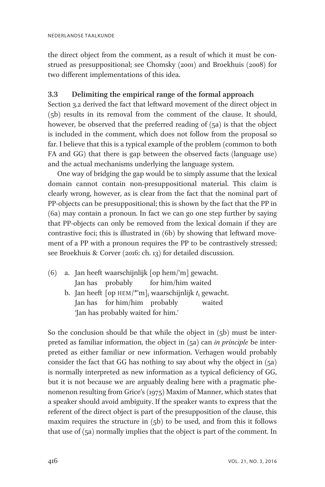the direct object from the comment, as a result of which it must be construed as presuppositional; see Chomsky (2001) and Broekhuis (2008) for two different implementations of this idea.

### 3.3 Delimiting the empirical range of the formal approach

Section 3.2 derived the fact that leftward movement of the direct object in (5b) results in its removal from the comment of the clause. It should, however, be observed that the preferred reading of (5a) is that the object is included in the comment, which does not follow from the proposal so far. I believe that this is a typical example of the problem (common to both FA and GG) that there is gap between the observed facts (language use) and the actual mechanisms underlying the language system.

One way of bridging the gap would be to simply assume that the lexical domain cannot contain non-presuppositional material. This claim is clearly wrong, however, as is clear from the fact that the nominal part of PP-objects can be presuppositional; this is shown by the fact that the PP in (6a) may contain a pronoun. In fact we can go one step further by saying that PP-objects can only be removed from the lexical domain if they are contrastive foci; this is illustrated in (6b) by showing that leftward movement of a PP with a pronoun requires the PP to be contrastively stressed; see Broekhuis & Corver (2016: ch. 13) for detailed discussion.

- (6) a. Jan heeft waarschijnlijk [op hem/'m] gewacht. Jan has probably for him/him waited
	- b. Jan heeft  $[op HEM/*m]$ ; waarschijnlijk  $t_i$  gewacht. Jan has for him/him probably waited 'Jan has probably waited for him.'

So the conclusion should be that while the object in (5b) must be interpreted as familiar information, the object in (5a) can in principle be interpreted as either familiar or new information. Verhagen would probably consider the fact that GG has nothing to say about why the object in (5a) is normally interpreted as new information as a typical deficiency of GG, but it is not because we are arguably dealing here with a pragmatic phenomenon resulting from Grice's (1975) Maxim of Manner, which states that a speaker should avoid ambiguity. If the speaker wants to express that the referent of the direct object is part of the presupposition of the clause, this maxim requires the structure in (5b) to be used, and from this it follows that use of (5a) normally implies that the object is part of the comment. In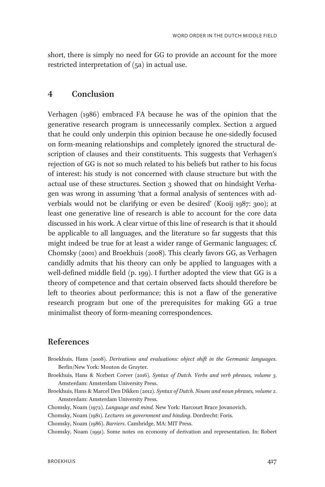short, there is simply no need for GG to provide an account for the more restricted interpretation of (5a) in actual use.

### 4 Conclusion

Verhagen (1986) embraced FA because he was of the opinion that the generative research program is unnecessarily complex. Section 2 argued that he could only underpin this opinion because he one-sidedly focused on form-meaning relationships and completely ignored the structural description of clauses and their constituents. This suggests that Verhagen's rejection of GG is not so much related to his beliefs but rather to his focus of interest: his study is not concerned with clause structure but with the actual use of these structures. Section 3 showed that on hindsight Verhagen was wrong in assuming 'that a formal analysis of sentences with adverbials would not be clarifying or even be desired' (Kooij 1987: 300); at least one generative line of research is able to account for the core data discussed in his work. A clear virtue of this line of research is that it should be applicable to all languages, and the literature so far suggests that this might indeed be true for at least a wider range of Germanic languages; cf. Chomsky (2001) and Broekhuis (2008). This clearly favors GG, as Verhagen candidly admits that his theory can only be applied to languages with a well-defined middle field (p. 199). I further adopted the view that GG is a theory of competence and that certain observed facts should therefore be left to theories about performance; this is not a flaw of the generative research program but one of the prerequisites for making GG a true minimalist theory of form-meaning correspondences.

# References

- Broekhuis, Hans (2008). Derivations and evaluations: object shift in the Germanic languages. Berlin/New York: Mouton de Gruyter.
- Broekhuis, Hans & Norbert Corver (2016). Syntax of Dutch. Verbs and verb phrases, volume 3. Amsterdam: Amsterdam University Press.
- Broekhuis, Hans & Marcel Den Dikken (2012). Syntax of Dutch. Nouns and noun phrases, volume 2. Amsterdam: Amsterdam University Press.
- Chomsky, Noam (1972). Language and mind. New York: Harcourt Brace Jovanovich.
- Chomsky, Noam (1981). Lectures on government and binding. Dordrecht: Foris.
- Chomsky, Noam (1986). Barriers. Cambridge, MA: MIT Press.

Chomsky, Noam (1991). Some notes on economy of derivation and representation. In: Robert